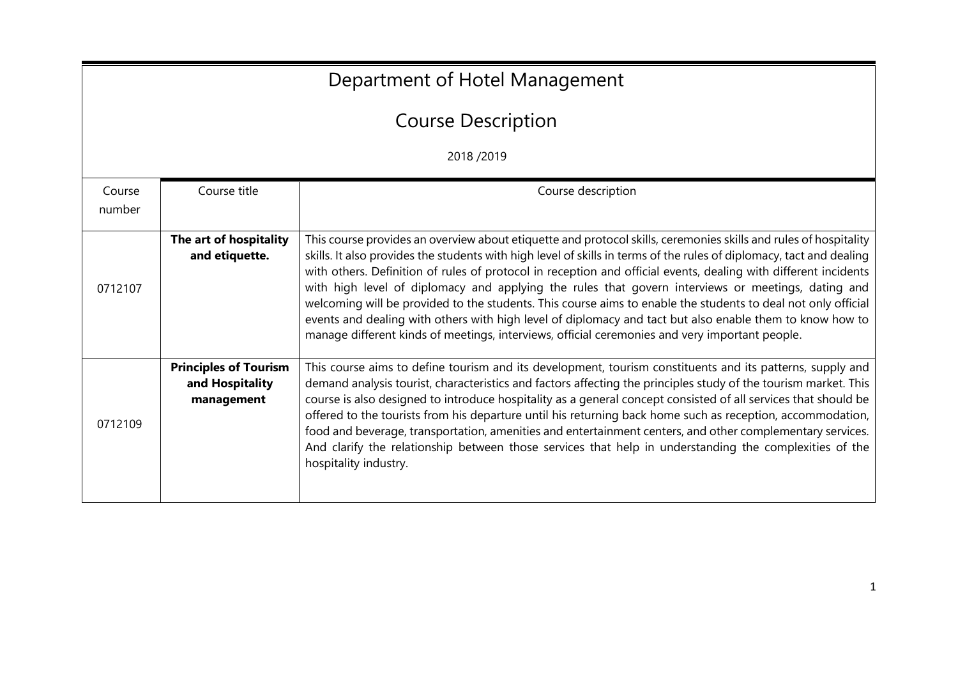| Department of Hotel Management |                                                               |                                                                                                                                                                                                                                                                                                                                                                                                                                                                                                                                                                                                                                                                                                                                                                                                  |  |  |
|--------------------------------|---------------------------------------------------------------|--------------------------------------------------------------------------------------------------------------------------------------------------------------------------------------------------------------------------------------------------------------------------------------------------------------------------------------------------------------------------------------------------------------------------------------------------------------------------------------------------------------------------------------------------------------------------------------------------------------------------------------------------------------------------------------------------------------------------------------------------------------------------------------------------|--|--|
|                                | <b>Course Description</b>                                     |                                                                                                                                                                                                                                                                                                                                                                                                                                                                                                                                                                                                                                                                                                                                                                                                  |  |  |
|                                | 2018/2019                                                     |                                                                                                                                                                                                                                                                                                                                                                                                                                                                                                                                                                                                                                                                                                                                                                                                  |  |  |
| Course<br>number               | Course title                                                  | Course description                                                                                                                                                                                                                                                                                                                                                                                                                                                                                                                                                                                                                                                                                                                                                                               |  |  |
| 0712107                        | The art of hospitality<br>and etiquette.                      | This course provides an overview about etiquette and protocol skills, ceremonies skills and rules of hospitality<br>skills. It also provides the students with high level of skills in terms of the rules of diplomacy, tact and dealing<br>with others. Definition of rules of protocol in reception and official events, dealing with different incidents<br>with high level of diplomacy and applying the rules that govern interviews or meetings, dating and<br>welcoming will be provided to the students. This course aims to enable the students to deal not only official<br>events and dealing with others with high level of diplomacy and tact but also enable them to know how to<br>manage different kinds of meetings, interviews, official ceremonies and very important people. |  |  |
| 0712109                        | <b>Principles of Tourism</b><br>and Hospitality<br>management | This course aims to define tourism and its development, tourism constituents and its patterns, supply and<br>demand analysis tourist, characteristics and factors affecting the principles study of the tourism market. This<br>course is also designed to introduce hospitality as a general concept consisted of all services that should be<br>offered to the tourists from his departure until his returning back home such as reception, accommodation,<br>food and beverage, transportation, amenities and entertainment centers, and other complementary services.<br>And clarify the relationship between those services that help in understanding the complexities of the<br>hospitality industry.                                                                                     |  |  |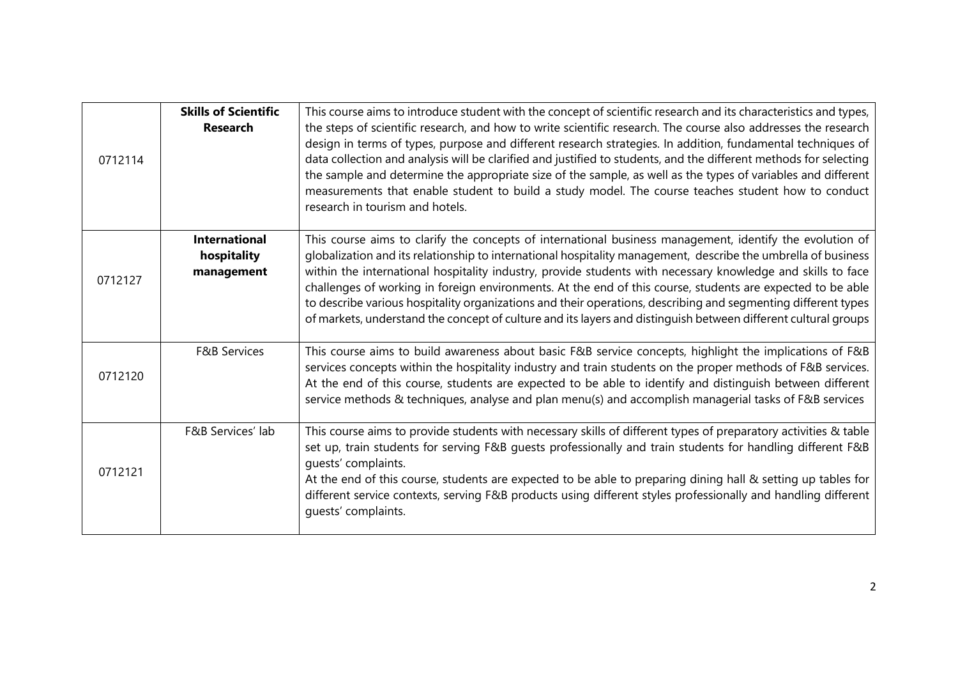| 0712114 | <b>Skills of Scientific</b><br><b>Research</b>    | This course aims to introduce student with the concept of scientific research and its characteristics and types,<br>the steps of scientific research, and how to write scientific research. The course also addresses the research<br>design in terms of types, purpose and different research strategies. In addition, fundamental techniques of<br>data collection and analysis will be clarified and justified to students, and the different methods for selecting<br>the sample and determine the appropriate size of the sample, as well as the types of variables and different<br>measurements that enable student to build a study model. The course teaches student how to conduct<br>research in tourism and hotels. |
|---------|---------------------------------------------------|---------------------------------------------------------------------------------------------------------------------------------------------------------------------------------------------------------------------------------------------------------------------------------------------------------------------------------------------------------------------------------------------------------------------------------------------------------------------------------------------------------------------------------------------------------------------------------------------------------------------------------------------------------------------------------------------------------------------------------|
| 0712127 | <b>International</b><br>hospitality<br>management | This course aims to clarify the concepts of international business management, identify the evolution of<br>globalization and its relationship to international hospitality management, describe the umbrella of business<br>within the international hospitality industry, provide students with necessary knowledge and skills to face<br>challenges of working in foreign environments. At the end of this course, students are expected to be able<br>to describe various hospitality organizations and their operations, describing and segmenting different types<br>of markets, understand the concept of culture and its layers and distinguish between different cultural groups                                       |
| 0712120 | <b>F&amp;B Services</b>                           | This course aims to build awareness about basic F&B service concepts, highlight the implications of F&B<br>services concepts within the hospitality industry and train students on the proper methods of F&B services.<br>At the end of this course, students are expected to be able to identify and distinguish between different<br>service methods & techniques, analyse and plan menu(s) and accomplish managerial tasks of F&B services                                                                                                                                                                                                                                                                                   |
| 0712121 | F&B Services' lab                                 | This course aims to provide students with necessary skills of different types of preparatory activities & table<br>set up, train students for serving F&B quests professionally and train students for handling different F&B<br>quests' complaints.<br>At the end of this course, students are expected to be able to preparing dining hall & setting up tables for<br>different service contexts, serving F&B products using different styles professionally and handling different<br>quests' complaints.                                                                                                                                                                                                                    |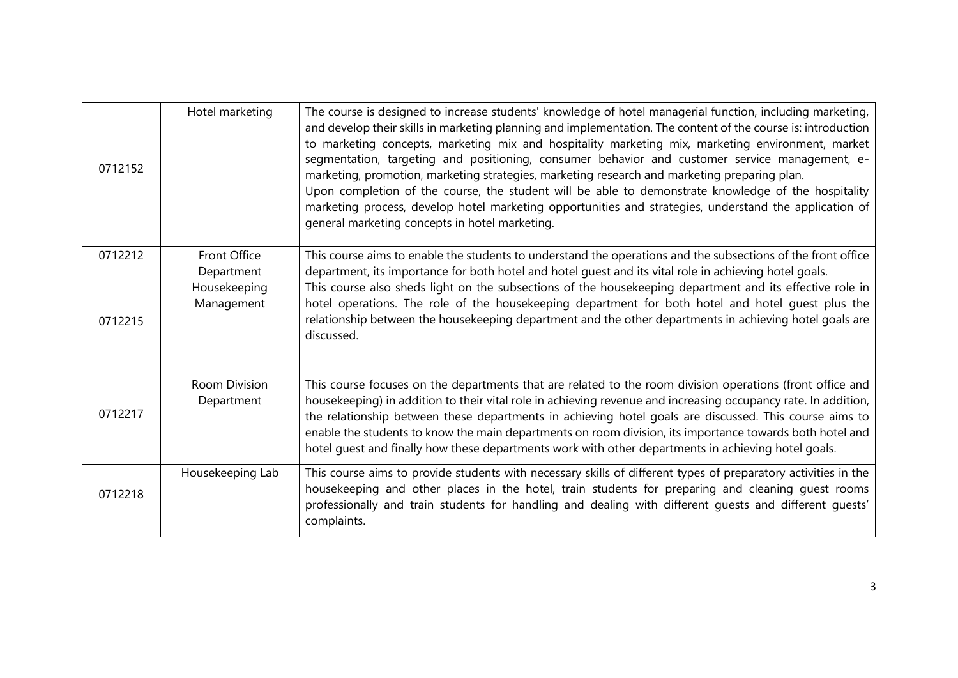| 0712152 | Hotel marketing                    | The course is designed to increase students' knowledge of hotel managerial function, including marketing,<br>and develop their skills in marketing planning and implementation. The content of the course is: introduction<br>to marketing concepts, marketing mix and hospitality marketing mix, marketing environment, market<br>segmentation, targeting and positioning, consumer behavior and customer service management, e-<br>marketing, promotion, marketing strategies, marketing research and marketing preparing plan.<br>Upon completion of the course, the student will be able to demonstrate knowledge of the hospitality<br>marketing process, develop hotel marketing opportunities and strategies, understand the application of<br>general marketing concepts in hotel marketing. |
|---------|------------------------------------|------------------------------------------------------------------------------------------------------------------------------------------------------------------------------------------------------------------------------------------------------------------------------------------------------------------------------------------------------------------------------------------------------------------------------------------------------------------------------------------------------------------------------------------------------------------------------------------------------------------------------------------------------------------------------------------------------------------------------------------------------------------------------------------------------|
| 0712212 | <b>Front Office</b><br>Department  | This course aims to enable the students to understand the operations and the subsections of the front office<br>department, its importance for both hotel and hotel guest and its vital role in achieving hotel goals.                                                                                                                                                                                                                                                                                                                                                                                                                                                                                                                                                                               |
| 0712215 | Housekeeping<br>Management         | This course also sheds light on the subsections of the housekeeping department and its effective role in<br>hotel operations. The role of the housekeeping department for both hotel and hotel quest plus the<br>relationship between the housekeeping department and the other departments in achieving hotel goals are<br>discussed.                                                                                                                                                                                                                                                                                                                                                                                                                                                               |
| 0712217 | <b>Room Division</b><br>Department | This course focuses on the departments that are related to the room division operations (front office and<br>housekeeping) in addition to their vital role in achieving revenue and increasing occupancy rate. In addition,<br>the relationship between these departments in achieving hotel goals are discussed. This course aims to<br>enable the students to know the main departments on room division, its importance towards both hotel and<br>hotel guest and finally how these departments work with other departments in achieving hotel goals.                                                                                                                                                                                                                                             |
| 0712218 | Housekeeping Lab                   | This course aims to provide students with necessary skills of different types of preparatory activities in the<br>housekeeping and other places in the hotel, train students for preparing and cleaning guest rooms<br>professionally and train students for handling and dealing with different quests and different quests'<br>complaints.                                                                                                                                                                                                                                                                                                                                                                                                                                                         |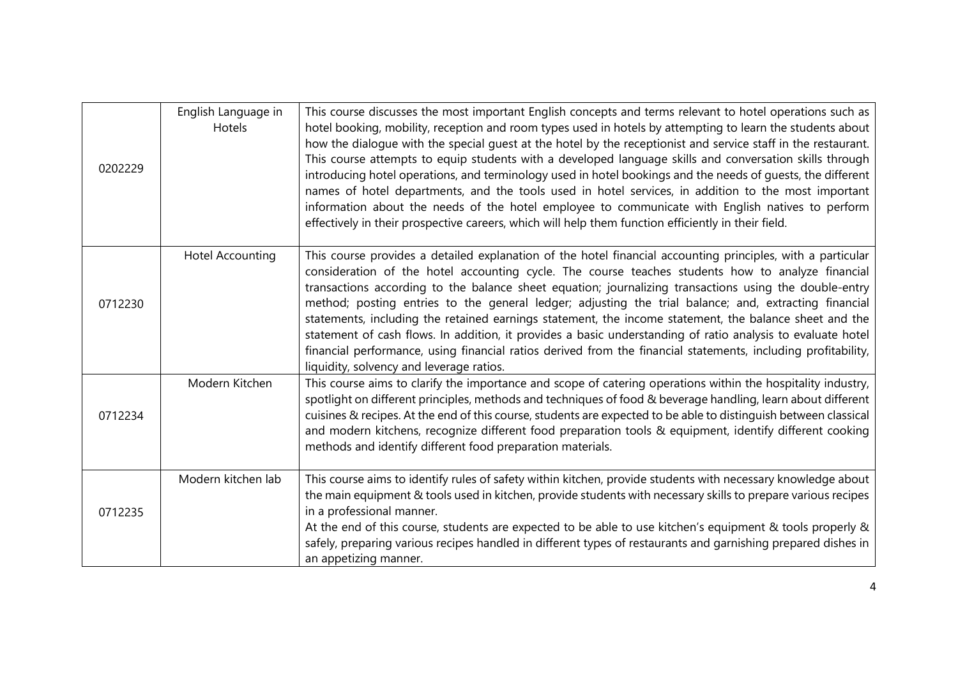| 0202229 | English Language in<br>Hotels | This course discusses the most important English concepts and terms relevant to hotel operations such as<br>hotel booking, mobility, reception and room types used in hotels by attempting to learn the students about<br>how the dialogue with the special guest at the hotel by the receptionist and service staff in the restaurant.<br>This course attempts to equip students with a developed language skills and conversation skills through<br>introducing hotel operations, and terminology used in hotel bookings and the needs of quests, the different<br>names of hotel departments, and the tools used in hotel services, in addition to the most important<br>information about the needs of the hotel employee to communicate with English natives to perform<br>effectively in their prospective careers, which will help them function efficiently in their field. |
|---------|-------------------------------|-------------------------------------------------------------------------------------------------------------------------------------------------------------------------------------------------------------------------------------------------------------------------------------------------------------------------------------------------------------------------------------------------------------------------------------------------------------------------------------------------------------------------------------------------------------------------------------------------------------------------------------------------------------------------------------------------------------------------------------------------------------------------------------------------------------------------------------------------------------------------------------|
| 0712230 | <b>Hotel Accounting</b>       | This course provides a detailed explanation of the hotel financial accounting principles, with a particular<br>consideration of the hotel accounting cycle. The course teaches students how to analyze financial<br>transactions according to the balance sheet equation; journalizing transactions using the double-entry<br>method; posting entries to the general ledger; adjusting the trial balance; and, extracting financial<br>statements, including the retained earnings statement, the income statement, the balance sheet and the<br>statement of cash flows. In addition, it provides a basic understanding of ratio analysis to evaluate hotel<br>financial performance, using financial ratios derived from the financial statements, including profitability,<br>liquidity, solvency and leverage ratios.                                                           |
| 0712234 | Modern Kitchen                | This course aims to clarify the importance and scope of catering operations within the hospitality industry,<br>spotlight on different principles, methods and techniques of food & beverage handling, learn about different<br>cuisines & recipes. At the end of this course, students are expected to be able to distinguish between classical<br>and modern kitchens, recognize different food preparation tools & equipment, identify different cooking<br>methods and identify different food preparation materials.                                                                                                                                                                                                                                                                                                                                                           |
| 0712235 | Modern kitchen lab            | This course aims to identify rules of safety within kitchen, provide students with necessary knowledge about<br>the main equipment & tools used in kitchen, provide students with necessary skills to prepare various recipes<br>in a professional manner.<br>At the end of this course, students are expected to be able to use kitchen's equipment & tools properly &<br>safely, preparing various recipes handled in different types of restaurants and garnishing prepared dishes in<br>an appetizing manner.                                                                                                                                                                                                                                                                                                                                                                   |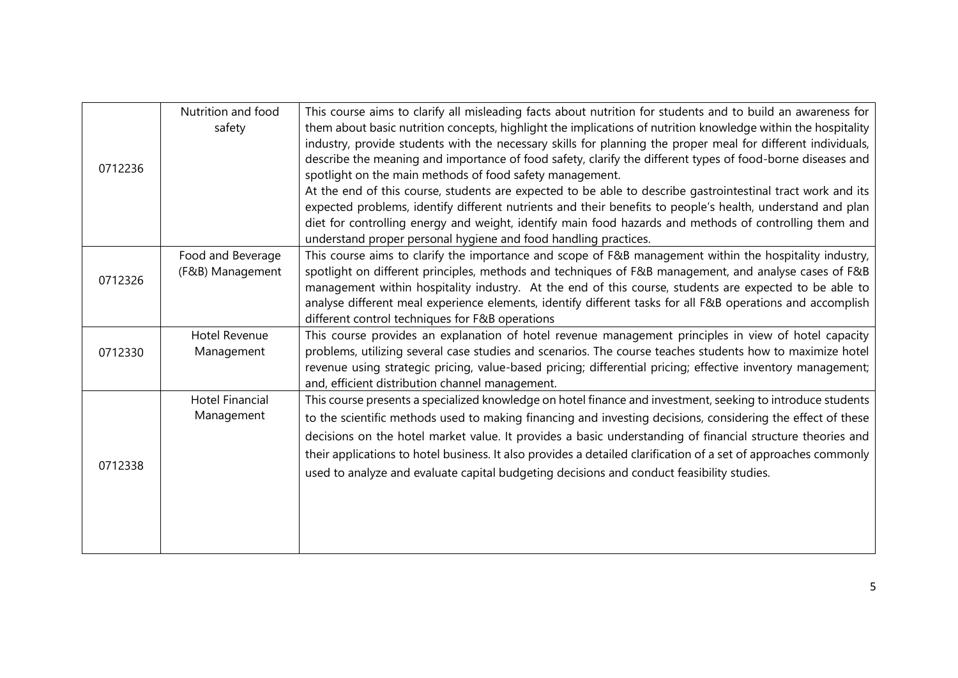| 0712236 | Nutrition and food<br>safety          | This course aims to clarify all misleading facts about nutrition for students and to build an awareness for<br>them about basic nutrition concepts, highlight the implications of nutrition knowledge within the hospitality<br>industry, provide students with the necessary skills for planning the proper meal for different individuals,<br>describe the meaning and importance of food safety, clarify the different types of food-borne diseases and<br>spotlight on the main methods of food safety management.<br>At the end of this course, students are expected to be able to describe gastrointestinal tract work and its<br>expected problems, identify different nutrients and their benefits to people's health, understand and plan<br>diet for controlling energy and weight, identify main food hazards and methods of controlling them and<br>understand proper personal hygiene and food handling practices. |
|---------|---------------------------------------|----------------------------------------------------------------------------------------------------------------------------------------------------------------------------------------------------------------------------------------------------------------------------------------------------------------------------------------------------------------------------------------------------------------------------------------------------------------------------------------------------------------------------------------------------------------------------------------------------------------------------------------------------------------------------------------------------------------------------------------------------------------------------------------------------------------------------------------------------------------------------------------------------------------------------------|
| 0712326 | Food and Beverage<br>(F&B) Management | This course aims to clarify the importance and scope of F&B management within the hospitality industry,<br>spotlight on different principles, methods and techniques of F&B management, and analyse cases of F&B<br>management within hospitality industry. At the end of this course, students are expected to be able to<br>analyse different meal experience elements, identify different tasks for all F&B operations and accomplish<br>different control techniques for F&B operations                                                                                                                                                                                                                                                                                                                                                                                                                                      |
| 0712330 | <b>Hotel Revenue</b><br>Management    | This course provides an explanation of hotel revenue management principles in view of hotel capacity<br>problems, utilizing several case studies and scenarios. The course teaches students how to maximize hotel<br>revenue using strategic pricing, value-based pricing; differential pricing; effective inventory management;<br>and, efficient distribution channel management.                                                                                                                                                                                                                                                                                                                                                                                                                                                                                                                                              |
| 0712338 | <b>Hotel Financial</b><br>Management  | This course presents a specialized knowledge on hotel finance and investment, seeking to introduce students<br>to the scientific methods used to making financing and investing decisions, considering the effect of these<br>decisions on the hotel market value. It provides a basic understanding of financial structure theories and<br>their applications to hotel business. It also provides a detailed clarification of a set of approaches commonly<br>used to analyze and evaluate capital budgeting decisions and conduct feasibility studies.                                                                                                                                                                                                                                                                                                                                                                         |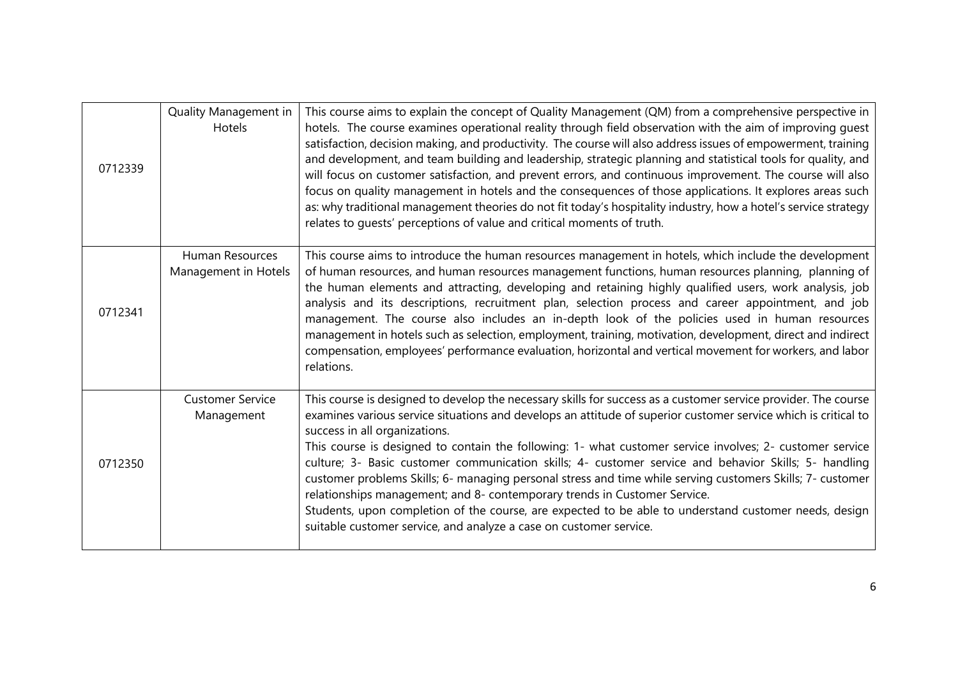| 0712339 | Quality Management in<br>Hotels         | This course aims to explain the concept of Quality Management (QM) from a comprehensive perspective in<br>hotels. The course examines operational reality through field observation with the aim of improving guest<br>satisfaction, decision making, and productivity. The course will also address issues of empowerment, training<br>and development, and team building and leadership, strategic planning and statistical tools for quality, and<br>will focus on customer satisfaction, and prevent errors, and continuous improvement. The course will also<br>focus on quality management in hotels and the consequences of those applications. It explores areas such<br>as: why traditional management theories do not fit today's hospitality industry, how a hotel's service strategy<br>relates to quests' perceptions of value and critical moments of truth. |
|---------|-----------------------------------------|----------------------------------------------------------------------------------------------------------------------------------------------------------------------------------------------------------------------------------------------------------------------------------------------------------------------------------------------------------------------------------------------------------------------------------------------------------------------------------------------------------------------------------------------------------------------------------------------------------------------------------------------------------------------------------------------------------------------------------------------------------------------------------------------------------------------------------------------------------------------------|
| 0712341 | Human Resources<br>Management in Hotels | This course aims to introduce the human resources management in hotels, which include the development<br>of human resources, and human resources management functions, human resources planning, planning of<br>the human elements and attracting, developing and retaining highly qualified users, work analysis, job<br>analysis and its descriptions, recruitment plan, selection process and career appointment, and job<br>management. The course also includes an in-depth look of the policies used in human resources<br>management in hotels such as selection, employment, training, motivation, development, direct and indirect<br>compensation, employees' performance evaluation, horizontal and vertical movement for workers, and labor<br>relations.                                                                                                      |
| 0712350 | <b>Customer Service</b><br>Management   | This course is designed to develop the necessary skills for success as a customer service provider. The course<br>examines various service situations and develops an attitude of superior customer service which is critical to<br>success in all organizations.<br>This course is designed to contain the following: 1- what customer service involves; 2- customer service<br>culture; 3- Basic customer communication skills; 4- customer service and behavior Skills; 5- handling<br>customer problems Skills; 6- managing personal stress and time while serving customers Skills; 7- customer<br>relationships management; and 8- contemporary trends in Customer Service.<br>Students, upon completion of the course, are expected to be able to understand customer needs, design<br>suitable customer service, and analyze a case on customer service.           |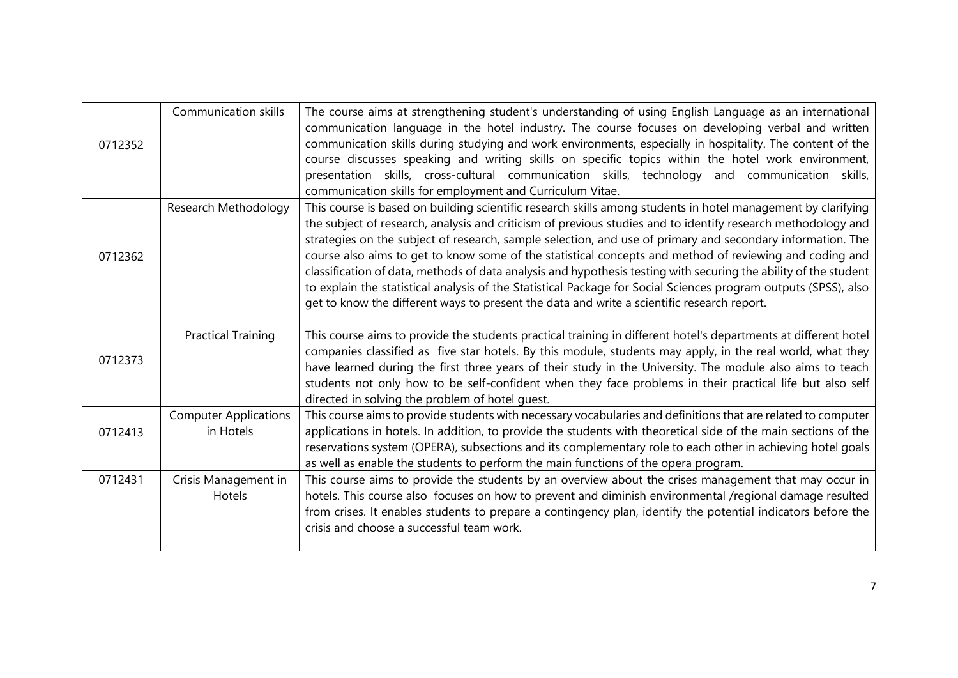| 0712352 | <b>Communication skills</b>               | The course aims at strengthening student's understanding of using English Language as an international<br>communication language in the hotel industry. The course focuses on developing verbal and written<br>communication skills during studying and work environments, especially in hospitality. The content of the<br>course discusses speaking and writing skills on specific topics within the hotel work environment,<br>presentation skills, cross-cultural communication skills, technology and communication skills,<br>communication skills for employment and Curriculum Vitae.                                                                                                                                                                                              |
|---------|-------------------------------------------|--------------------------------------------------------------------------------------------------------------------------------------------------------------------------------------------------------------------------------------------------------------------------------------------------------------------------------------------------------------------------------------------------------------------------------------------------------------------------------------------------------------------------------------------------------------------------------------------------------------------------------------------------------------------------------------------------------------------------------------------------------------------------------------------|
| 0712362 | Research Methodology                      | This course is based on building scientific research skills among students in hotel management by clarifying<br>the subject of research, analysis and criticism of previous studies and to identify research methodology and<br>strategies on the subject of research, sample selection, and use of primary and secondary information. The<br>course also aims to get to know some of the statistical concepts and method of reviewing and coding and<br>classification of data, methods of data analysis and hypothesis testing with securing the ability of the student<br>to explain the statistical analysis of the Statistical Package for Social Sciences program outputs (SPSS), also<br>get to know the different ways to present the data and write a scientific research report. |
| 0712373 | <b>Practical Training</b>                 | This course aims to provide the students practical training in different hotel's departments at different hotel<br>companies classified as five star hotels. By this module, students may apply, in the real world, what they<br>have learned during the first three years of their study in the University. The module also aims to teach<br>students not only how to be self-confident when they face problems in their practical life but also self<br>directed in solving the problem of hotel guest.                                                                                                                                                                                                                                                                                  |
| 0712413 | <b>Computer Applications</b><br>in Hotels | This course aims to provide students with necessary vocabularies and definitions that are related to computer<br>applications in hotels. In addition, to provide the students with theoretical side of the main sections of the<br>reservations system (OPERA), subsections and its complementary role to each other in achieving hotel goals<br>as well as enable the students to perform the main functions of the opera program.                                                                                                                                                                                                                                                                                                                                                        |
| 0712431 | Crisis Management in<br>Hotels            | This course aims to provide the students by an overview about the crises management that may occur in<br>hotels. This course also focuses on how to prevent and diminish environmental /regional damage resulted<br>from crises. It enables students to prepare a contingency plan, identify the potential indicators before the<br>crisis and choose a successful team work.                                                                                                                                                                                                                                                                                                                                                                                                              |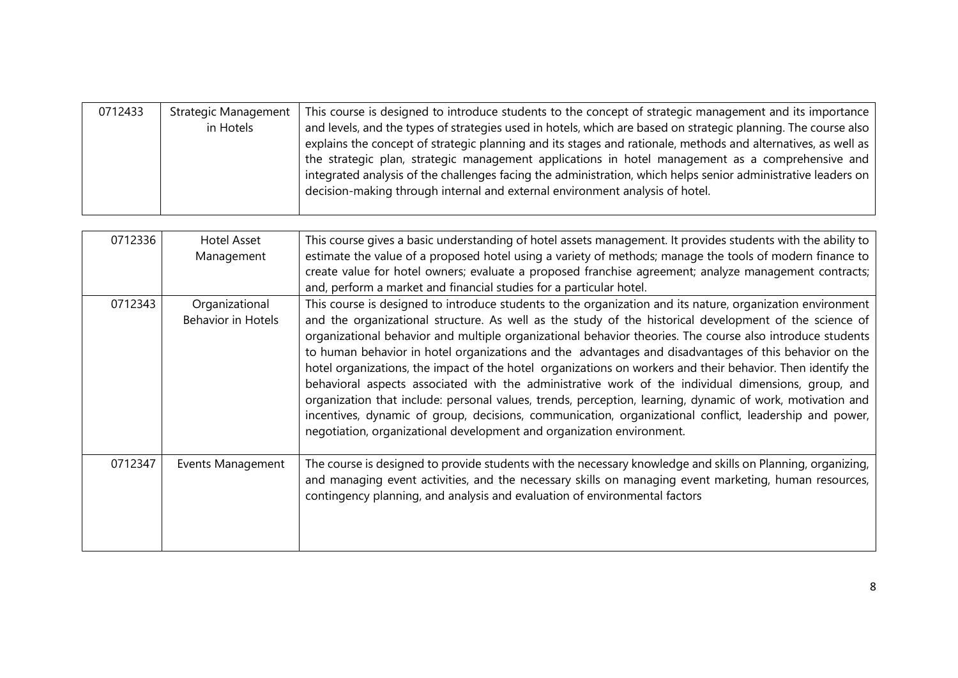| 0712433 | <b>Strategic Management</b><br>in Hotels | This course is designed to introduce students to the concept of strategic management and its importance<br>and levels, and the types of strategies used in hotels, which are based on strategic planning. The course also<br>explains the concept of strategic planning and its stages and rationale, methods and alternatives, as well as<br>the strategic plan, strategic management applications in hotel management as a comprehensive and<br>integrated analysis of the challenges facing the administration, which helps senior administrative leaders on<br>decision-making through internal and external environment analysis of hotel.                                                                                                                                                                                                    |
|---------|------------------------------------------|----------------------------------------------------------------------------------------------------------------------------------------------------------------------------------------------------------------------------------------------------------------------------------------------------------------------------------------------------------------------------------------------------------------------------------------------------------------------------------------------------------------------------------------------------------------------------------------------------------------------------------------------------------------------------------------------------------------------------------------------------------------------------------------------------------------------------------------------------|
|         |                                          |                                                                                                                                                                                                                                                                                                                                                                                                                                                                                                                                                                                                                                                                                                                                                                                                                                                    |
| 0712336 | <b>Hotel Asset</b>                       | This course gives a basic understanding of hotel assets management. It provides students with the ability to                                                                                                                                                                                                                                                                                                                                                                                                                                                                                                                                                                                                                                                                                                                                       |
|         | Management                               | estimate the value of a proposed hotel using a variety of methods; manage the tools of modern finance to<br>create value for hotel owners; evaluate a proposed franchise agreement; analyze management contracts;                                                                                                                                                                                                                                                                                                                                                                                                                                                                                                                                                                                                                                  |
|         |                                          | and, perform a market and financial studies for a particular hotel.                                                                                                                                                                                                                                                                                                                                                                                                                                                                                                                                                                                                                                                                                                                                                                                |
| 0712343 | Organizational                           | This course is designed to introduce students to the organization and its nature, organization environment                                                                                                                                                                                                                                                                                                                                                                                                                                                                                                                                                                                                                                                                                                                                         |
|         | <b>Behavior in Hotels</b>                | and the organizational structure. As well as the study of the historical development of the science of<br>organizational behavior and multiple organizational behavior theories. The course also introduce students<br>to human behavior in hotel organizations and the advantages and disadvantages of this behavior on the<br>hotel organizations, the impact of the hotel organizations on workers and their behavior. Then identify the<br>behavioral aspects associated with the administrative work of the individual dimensions, group, and<br>organization that include: personal values, trends, perception, learning, dynamic of work, motivation and<br>incentives, dynamic of group, decisions, communication, organizational conflict, leadership and power,<br>negotiation, organizational development and organization environment. |
| 0712347 | Events Management                        | The course is designed to provide students with the necessary knowledge and skills on Planning, organizing,<br>and managing event activities, and the necessary skills on managing event marketing, human resources,<br>contingency planning, and analysis and evaluation of environmental factors                                                                                                                                                                                                                                                                                                                                                                                                                                                                                                                                                 |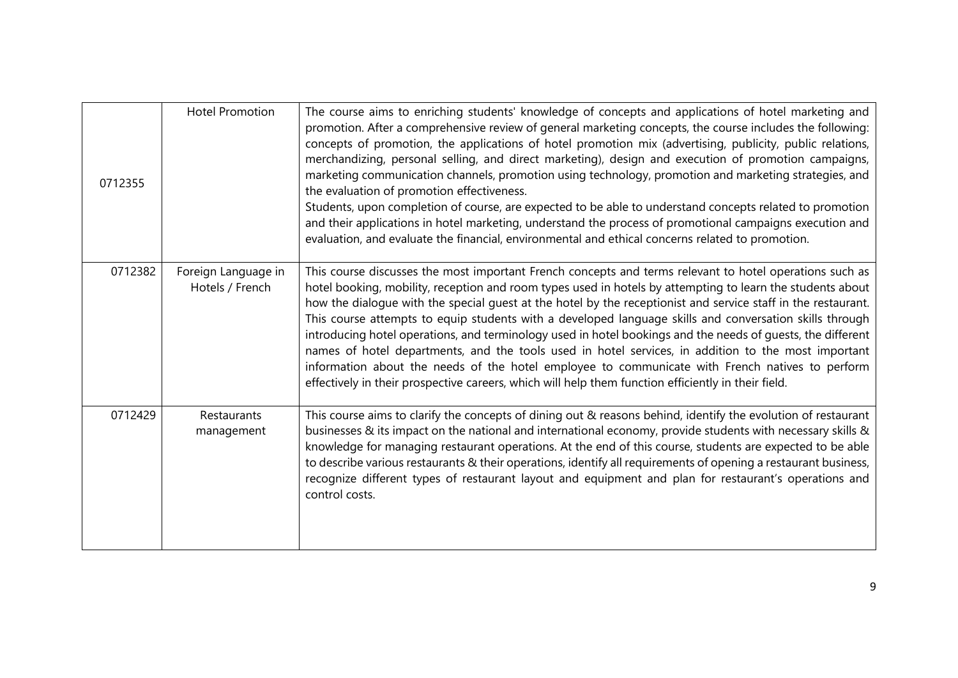| 0712355 | <b>Hotel Promotion</b>                 | The course aims to enriching students' knowledge of concepts and applications of hotel marketing and<br>promotion. After a comprehensive review of general marketing concepts, the course includes the following:<br>concepts of promotion, the applications of hotel promotion mix (advertising, publicity, public relations,<br>merchandizing, personal selling, and direct marketing), design and execution of promotion campaigns,<br>marketing communication channels, promotion using technology, promotion and marketing strategies, and<br>the evaluation of promotion effectiveness.<br>Students, upon completion of course, are expected to be able to understand concepts related to promotion<br>and their applications in hotel marketing, understand the process of promotional campaigns execution and<br>evaluation, and evaluate the financial, environmental and ethical concerns related to promotion. |
|---------|----------------------------------------|---------------------------------------------------------------------------------------------------------------------------------------------------------------------------------------------------------------------------------------------------------------------------------------------------------------------------------------------------------------------------------------------------------------------------------------------------------------------------------------------------------------------------------------------------------------------------------------------------------------------------------------------------------------------------------------------------------------------------------------------------------------------------------------------------------------------------------------------------------------------------------------------------------------------------|
| 0712382 | Foreign Language in<br>Hotels / French | This course discusses the most important French concepts and terms relevant to hotel operations such as<br>hotel booking, mobility, reception and room types used in hotels by attempting to learn the students about<br>how the dialogue with the special guest at the hotel by the receptionist and service staff in the restaurant.<br>This course attempts to equip students with a developed language skills and conversation skills through<br>introducing hotel operations, and terminology used in hotel bookings and the needs of quests, the different<br>names of hotel departments, and the tools used in hotel services, in addition to the most important<br>information about the needs of the hotel employee to communicate with French natives to perform<br>effectively in their prospective careers, which will help them function efficiently in their field.                                         |
| 0712429 | Restaurants<br>management              | This course aims to clarify the concepts of dining out & reasons behind, identify the evolution of restaurant<br>businesses & its impact on the national and international economy, provide students with necessary skills &<br>knowledge for managing restaurant operations. At the end of this course, students are expected to be able<br>to describe various restaurants & their operations, identify all requirements of opening a restaurant business,<br>recognize different types of restaurant layout and equipment and plan for restaurant's operations and<br>control costs.                                                                                                                                                                                                                                                                                                                                   |